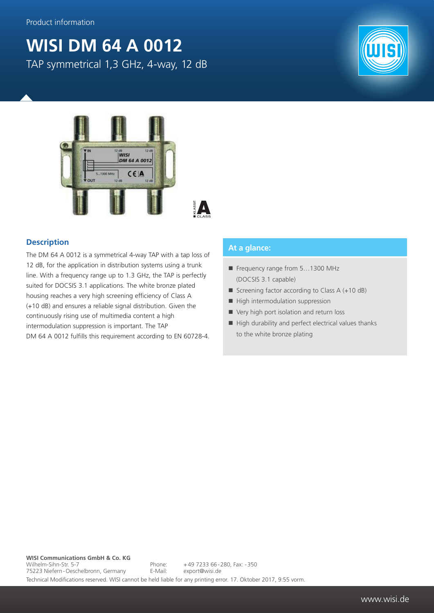## **WISI DM 64 A 0012**

TAP symmetrical 1,3 GHz, 4-way, 12 dB





#### **Description**

The DM 64 A 0012 is a symmetrical 4-way TAP with a tap loss of 12 dB, for the application in distribution systems using a trunk line. With a frequency range up to 1.3 GHz, the TAP is perfectly suited for DOCSIS 3.1 applications. The white bronze plated housing reaches a very high screening efficiency of Class A (+10 dB) and ensures a reliable signal distribution. Given the continuously rising use of multimedia content a high intermodulation suppression is important. The TAP DM 64 A 0012 fulfills this requirement according to EN 60728-4.

#### **At a glance:**

- Frequency range from 5...1300 MHz (DOCSIS 3.1 capable)
- Screening factor according to Class  $A (+10 dB)$
- $\blacksquare$  High intermodulation suppression
- Very high port isolation and return loss
- $\blacksquare$  High durability and perfect electrical values thanks to the white bronze plating